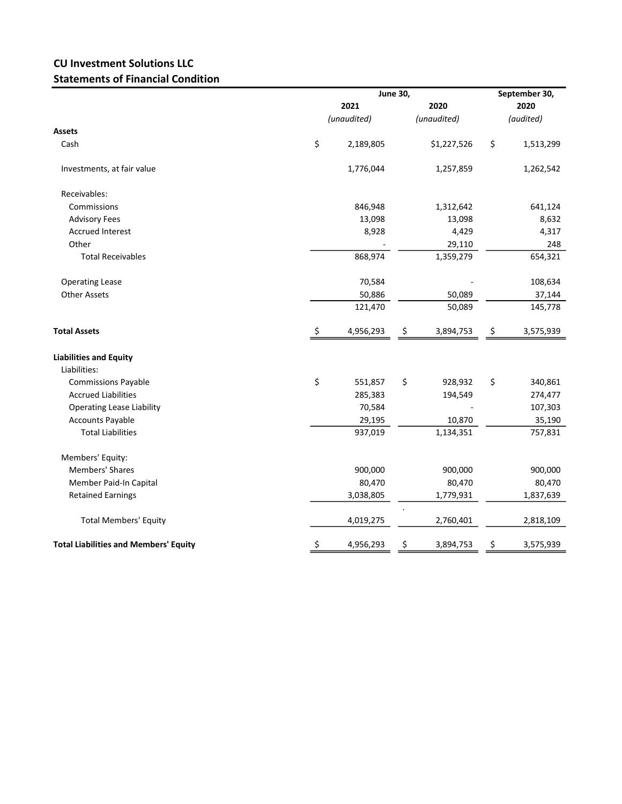## CU Investment Solutions LLC Statements of Financial Condition

|                                              |             | <b>June 30,</b> |             |             |           | September 30, |  |
|----------------------------------------------|-------------|-----------------|-------------|-------------|-----------|---------------|--|
|                                              | 2021        |                 |             | 2020        |           | 2020          |  |
|                                              | (unaudited) |                 | (unaudited) |             | (audited) |               |  |
| <b>Assets</b>                                |             |                 |             |             |           |               |  |
| Cash                                         | \$          | 2,189,805       |             | \$1,227,526 | \$        | 1,513,299     |  |
| Investments, at fair value                   |             | 1,776,044       |             | 1,257,859   |           | 1,262,542     |  |
| Receivables:                                 |             |                 |             |             |           |               |  |
| Commissions                                  |             | 846,948         |             | 1,312,642   |           | 641,124       |  |
| <b>Advisory Fees</b>                         |             | 13,098          |             | 13,098      |           | 8,632         |  |
| <b>Accrued Interest</b>                      |             | 8,928           |             | 4,429       |           | 4,317         |  |
| Other                                        |             |                 |             | 29,110      |           | 248           |  |
| <b>Total Receivables</b>                     |             | 868,974         |             | 1,359,279   |           | 654,321       |  |
| <b>Operating Lease</b>                       |             | 70,584          |             |             |           | 108,634       |  |
| <b>Other Assets</b>                          |             | 50,886          |             | 50,089      |           | 37,144        |  |
|                                              |             | 121,470         |             | 50,089      |           | 145,778       |  |
| <b>Total Assets</b>                          | \$          | 4,956,293       | \$          | 3,894,753   | \$        | 3,575,939     |  |
| <b>Liabilities and Equity</b>                |             |                 |             |             |           |               |  |
| Liabilities:                                 |             |                 |             |             |           |               |  |
| <b>Commissions Payable</b>                   | \$          | 551,857         | \$          | 928,932     | \$        | 340,861       |  |
| <b>Accrued Liabilities</b>                   |             | 285,383         |             | 194,549     |           | 274,477       |  |
| <b>Operating Lease Liability</b>             |             | 70,584          |             |             |           | 107,303       |  |
| <b>Accounts Payable</b>                      |             | 29,195          |             | 10,870      |           | 35,190        |  |
| <b>Total Liabilities</b>                     |             | 937,019         |             | 1,134,351   |           | 757,831       |  |
| Members' Equity:                             |             |                 |             |             |           |               |  |
| <b>Members' Shares</b>                       |             | 900,000         |             | 900,000     |           | 900,000       |  |
| Member Paid-In Capital                       |             | 80,470          |             | 80,470      |           | 80,470        |  |
| <b>Retained Earnings</b>                     |             | 3,038,805       |             | 1,779,931   |           | 1,837,639     |  |
| <b>Total Members' Equity</b>                 |             | 4,019,275       |             | 2,760,401   |           | 2,818,109     |  |
| <b>Total Liabilities and Members' Equity</b> | \$          | 4,956,293       | \$          | 3,894,753   | \$        | 3,575,939     |  |